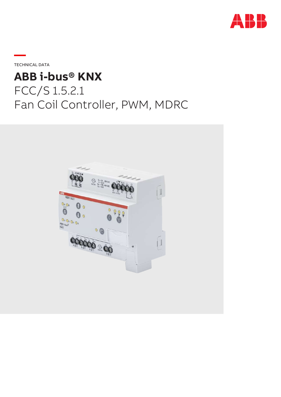

**—**TECHNICAL DATA

# **ABB i-bus® KNX** FCC/S 1.5.2.1 Fan Coil Controller, PWM, MDRC

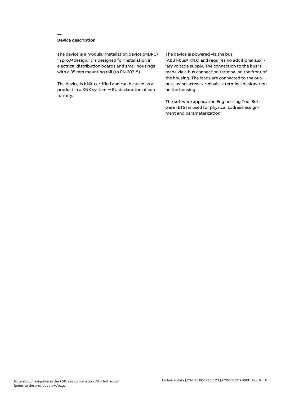## **Device description**

**—**

The device is a modular installation device (MDRC) in proM design. It is designed for installation in electrical distribution boards and small housings with a 35 mm mounting rail (to EN 60715).

The device is KNX-certified and can be used as a product in a KNX system → EU declaration of conformity.

#### The device is powered via the bus

(ABB i-bus® KNX) and requires no additional auxiliary voltage supply. The connection to the bus is made via a bus connection terminal on the front of the housing. The loads are connected to the outputs using screw terminals → terminal designation on the housing.

The software application Engineering Tool Software (ETS) is used for physical address assignment and parameterization.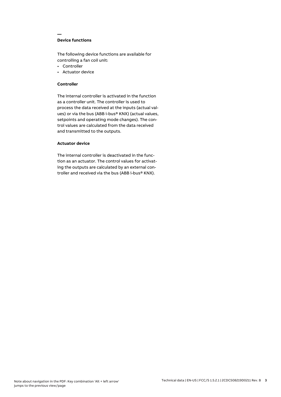## **Device functions**

**—**

The following device functions are available for controlling a fan coil unit:

- Controller
- Actuator device

## **Controller**

The internal controller is activated in the function as a controller unit. The controller is used to process the data received at the inputs (actual values) or via the bus (ABB i-bus® KNX) (actual values, setpoints and operating mode changes). The control values are calculated from the data received and transmitted to the outputs.

## **Actuator device**

The internal controller is deactivated in the function as an actuator. The control values for activating the outputs are calculated by an external controller and received via the bus (ABB i-bus® KNX).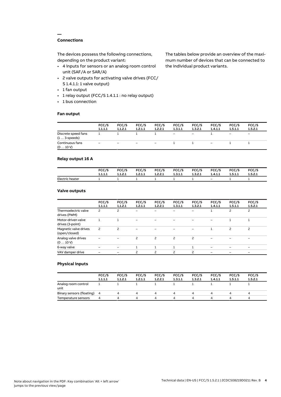## **Connections**

**—**

The devices possess the following connections, depending on the product variant:

- 4 inputs for sensors or an analog room control unit (SAF/A or SAR/A)
- 2 valve outputs for activating valve drives (FCC/ S 1.4.1.1: 1 valve output)
- 1 fan output
- 1 relay output (FCC/S 1.4.1.1 : no relay output)
- 1 bus connection

#### **Fan output**

The tables below provide an overview of the maximum number of devices that can be connected to the individual product variants.

|                                               | FCC/S<br>1.1.1.1 | FCC/S<br>1.1.2.1 | FCC/S<br>1.2.1.1  | FCC/S<br>1.2.2.1         | FCC/S<br>1.3.1.1  | FCC/S<br>1.3.2.1         | FCC/S<br>1.4.1.1         | FCC/S<br>1.5.1.1             | FCC/S<br>1.5.2.1         |
|-----------------------------------------------|------------------|------------------|-------------------|--------------------------|-------------------|--------------------------|--------------------------|------------------------------|--------------------------|
| Discrete speed fans<br>$(1 \ldots 3$ -speeds) |                  |                  |                   |                          | $\qquad \qquad -$ | $\overline{\phantom{m}}$ |                          | $\qquad \qquad \blacksquare$ | $\overline{\phantom{0}}$ |
| Continuous fans<br>(010V)                     | -                | -                | $\qquad \qquad -$ | $\overline{\phantom{a}}$ |                   |                          | $\overline{\phantom{0}}$ |                              |                          |

## **Relay output 16 A**

|                 | FCC/S   | FCC/S   | FCC/S   | <b>FCC/S</b> | <b>FCC/S</b> | FCC/S   | FCC/S   | FCC/S   | FCC/S   |
|-----------------|---------|---------|---------|--------------|--------------|---------|---------|---------|---------|
|                 | 1.1.1.1 | 1.1.2.1 | 1.2.1.1 | 1.2.2.1      | 1.3.1.1      | 1.3.2.1 | 1.4.1.1 | 1.5.1.1 | 1.5.2.1 |
| Electric heater |         |         |         |              |              |         | $-$     |         |         |

## **Valve outputs**

|                                        | FCC/S<br>1.1.1.1 | FCC/S<br>1.1.2.1         | FCC/S<br>1.2.1.1 | FCC/S<br>1.2.2.1 | FCC/S<br>1.3.1.1 | FCC/S<br>1.3.2.1         | FCC/S<br>1.4.1.1 | FCC/S<br>1.5.1.1 | FCC/S<br>1.5.2.1         |  |
|----------------------------------------|------------------|--------------------------|------------------|------------------|------------------|--------------------------|------------------|------------------|--------------------------|--|
| Thermoelectric valve<br>drives (PWM)   | 2                | 2                        | -                |                  |                  |                          |                  | 2                | $\overline{c}$           |  |
| Motor-driven valve<br>drives (3-point) |                  |                          |                  |                  |                  |                          |                  |                  |                          |  |
| Magnetic valve drives<br>(open/closed) | 2                | $\overline{\phantom{0}}$ |                  |                  |                  |                          |                  | $\overline{c}$   | $\overline{c}$           |  |
| Analog valve drives<br>(010V)          |                  |                          | 2                | 2                | $\overline{c}$   | $\overline{c}$           |                  |                  |                          |  |
| 6-way valve                            |                  |                          |                  |                  |                  |                          |                  |                  | $\overline{\phantom{0}}$ |  |
| VAV damper drive                       |                  |                          | ς                | ς                | $\mathcal{P}$    | $\overline{\phantom{0}}$ |                  |                  |                          |  |
|                                        |                  |                          |                  |                  |                  |                          |                  |                  |                          |  |

## **Physical inputs**

|                             | FCC/S<br>1.1.1.1 | FCC/S<br>1.1.2.1 | FCC/S<br>1.2.1.1 | FCC/S<br>1.2.2.1 | FCC/S<br>1.3.1.1 | FCC/S<br>1.3.2.1 | FCC/S<br>1.4.1.1 | FCC/S<br>1.5.1.1 | FCC/S<br>1.5.2.1 |
|-----------------------------|------------------|------------------|------------------|------------------|------------------|------------------|------------------|------------------|------------------|
| Analog room control<br>unit |                  |                  |                  |                  |                  |                  |                  |                  |                  |
| Binary sensors (floating) 4 |                  |                  | 4                |                  | Δ.               | 4                |                  |                  | 4                |
| Temperature sensors         | 4                | Δ.               | Δ                |                  | Δ.               | 4                |                  | Δ                | 4                |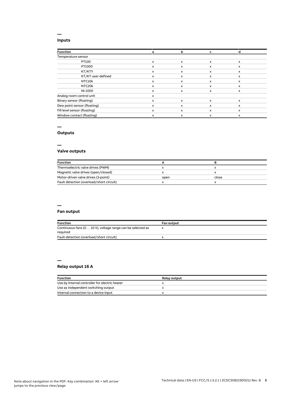## **Inputs**

**—**

| <b>Function</b>              | a | b | c                         |              |
|------------------------------|---|---|---------------------------|--------------|
| Temperature sensor           |   |   |                           |              |
| PT100                        | x | X | $\boldsymbol{\mathsf{x}}$ | $\mathsf{x}$ |
| PT1000                       | x | X | x                         | x            |
| KT/KTY                       | x | x | x                         | x            |
| KT/KT user-defined           | x | x | X                         | $\mathsf{x}$ |
| NTC10k                       | x | x | x                         | x            |
| NTC20k                       | x | x | x                         | x            |
| NI-1000                      | x | x | x                         | x            |
| Analog room control unit     | x |   |                           |              |
| Binary sensor (floating)     | x | X | x                         | $\mathsf{x}$ |
| Dew point sensor (floating)  | x | x | X                         | x            |
| Fill level sensor (floating) | x | X | x                         | $\mathsf{x}$ |
| Window contact (floating)    | x | x | X                         | x            |

## **—**

## **Outputs**

**—**

## **Valve outputs**

| <b>Function</b>                          |      |       |  |
|------------------------------------------|------|-------|--|
| Thermoelectric valve drives (PWM)        |      |       |  |
| Magnetic valve drives (open/closed)      |      |       |  |
| Motor-driven valve drives (3-point)      | open | close |  |
| Fault detection (overload/short circuit) |      |       |  |

#### **—**

## **Fan output**

| <b>Function</b>                                                         | <b>Fan output</b> |
|-------------------------------------------------------------------------|-------------------|
| Continuous fans (0  10 V), voltage range can be selected as<br>required |                   |
| Fault detection (overload/short circuit)                                |                   |

#### **— Relay output 16 A**

| <b>Function</b>                                | <b>Relay output</b> |
|------------------------------------------------|---------------------|
| Use by internal controller for electric heater |                     |
| Use as independent switching output            |                     |
| Internal connection to a device input          |                     |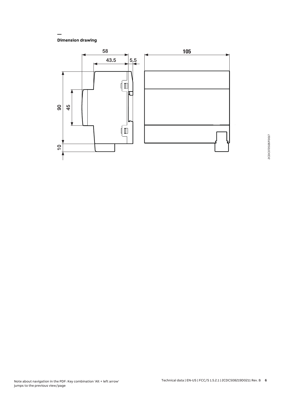**Dimension drawing**

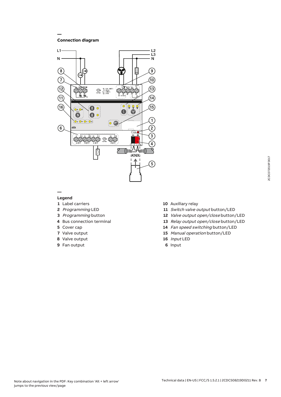**Connection diagram**

**—**



#### **— Legend**

- Label carriers
- Programming LED
- Programming button
- Bus connection terminal
- Cover cap
- Valve output
- Valve output
- Fan output
- Auxiliary relay
- 11 Switch valve output button/LED
- Valve output open/close button/LED
- Relay output open/close button/LED
- Fan speed switching button/LED
- Manual operation button/LED
- Input LED
- Input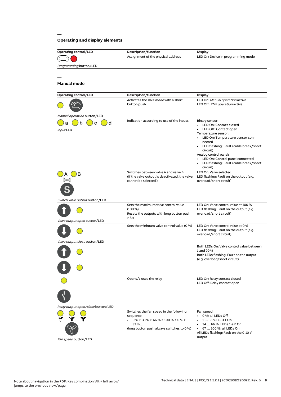## **Operating and display elements**

| <b>Operating control/LED</b>       | Description/function                                                   | <b>Display</b>                                                     |
|------------------------------------|------------------------------------------------------------------------|--------------------------------------------------------------------|
|                                    | Assignment of the physical address                                     | LED On: Device in programming mode                                 |
| Programming button/LED             |                                                                        |                                                                    |
|                                    |                                                                        |                                                                    |
|                                    |                                                                        |                                                                    |
| <b>Manual mode</b>                 |                                                                        |                                                                    |
|                                    |                                                                        |                                                                    |
| <b>Operating control/LED</b>       | Description/function                                                   | <b>Display</b>                                                     |
|                                    | Activates the KNX mode with a short                                    | LED On: Manual operation active                                    |
|                                    | button push                                                            | LED Off: KNX operation active                                      |
| Manual operation button/LED        |                                                                        |                                                                    |
|                                    | Indication according to use of the inputs                              | Binary sensor:                                                     |
| d<br>n                             |                                                                        | • LED On: Contact closed                                           |
| Input LED                          |                                                                        | LED Off: Contact open<br>Temperature sensor:                       |
|                                    |                                                                        | LED On: Temperature sensor con-<br>$\bullet$                       |
|                                    |                                                                        | nected                                                             |
|                                    |                                                                        | • LED flashing: Fault (cable break/short<br>circuit)               |
|                                    |                                                                        | Analog control panel:                                              |
|                                    |                                                                        | LED On: Control panel connected<br>$\bullet$                       |
|                                    |                                                                        | LED flashing: Fault (cable break/short<br>circuit)                 |
| в                                  | Switches between valve A and valve B.                                  | LED On: Valve selected                                             |
|                                    | (If the valve output is deactivated, the valve<br>cannot be selected.) | LED flashing: Fault on the output (e.g.<br>overload/short circuit) |
|                                    |                                                                        |                                                                    |
|                                    |                                                                        |                                                                    |
|                                    |                                                                        |                                                                    |
| Switch valve output button/LED     | Sets the maximum valve control value                                   | LED On: Valve control value at 100 %                               |
|                                    | $(100\%)$                                                              | LED flashing: Fault on the output (e.g.                            |
|                                    | Resets the outputs with long button push                               | overload/short circuit)                                            |
| Valve output open button/LED       | > 5s                                                                   |                                                                    |
|                                    | Sets the minimum valve control value (0 %)                             | LED On: Valve control value at 0 %                                 |
|                                    |                                                                        | LED flashing: Fault on the output (e.g.<br>overload/short circuit) |
|                                    |                                                                        |                                                                    |
| Valve output close button/LED      |                                                                        | Both LEDs On: Valve control value between                          |
|                                    |                                                                        | 1 and 99 %                                                         |
|                                    |                                                                        | Both LEDs flashing: Fault on the output                            |
|                                    |                                                                        | (e.g. overload/short circuit)                                      |
|                                    |                                                                        |                                                                    |
|                                    |                                                                        |                                                                    |
|                                    | Opens/closes the relay                                                 | LED On: Relay contact closed<br>LED Off: Relay contact open        |
|                                    |                                                                        |                                                                    |
|                                    |                                                                        |                                                                    |
|                                    |                                                                        |                                                                    |
| Relay output open/close button/LED |                                                                        |                                                                    |
|                                    | Switches the fan speed in the following                                | Fan speed:                                                         |
|                                    | sequence:                                                              | 0 %: all LEDs Off<br>$\bullet$                                     |
|                                    | $0\%$ > 33 % > 66 % > 100 % > 0 % ><br>33 %                            | $\cdot$ 1 33 %: LED 1 On<br>34  66 %: LEDs 1 & 2 On                |
|                                    | (long button push always switches to 0 %)                              | 67  100 %: all LEDs On                                             |
|                                    |                                                                        | All LEDs flashing: Fault on the 0-10 V<br>output                   |
| Fan speed button/LED               |                                                                        |                                                                    |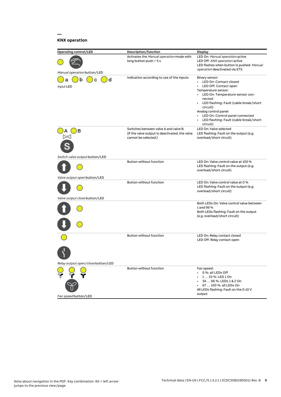## **KNX operation**

| <b>Operating control/LED</b>                                   | Description/function                                                                                            | Display                                                                                                                                                                                                                                                                                                                                   |
|----------------------------------------------------------------|-----------------------------------------------------------------------------------------------------------------|-------------------------------------------------------------------------------------------------------------------------------------------------------------------------------------------------------------------------------------------------------------------------------------------------------------------------------------------|
| Manual operation button/LED                                    | Activates the Manual operation mode with<br>long button push > 5 s                                              | LED On: Manual operation active<br>LED Off: KNX operation active<br>LED flashes when button is pushed: Manual<br><i>operation</i> deactivated via ETS                                                                                                                                                                                     |
| d<br>а<br>n<br>C<br>Input LED                                  | Indication according to use of the inputs                                                                       | Binary sensor:<br>LED On: Contact closed<br>LED Off: Contact open<br>Temperature sensor:<br>LED On: Temperature sensor con-<br>$\bullet$<br>nected<br>• LED flashing: Fault (cable break/short<br>circuit)<br>Analog control panel:<br>LED On: Control panel connected<br>$\bullet$<br>LED flashing: Fault (cable break/short<br>circuit) |
| в                                                              | Switches between valve A and valve B.<br>(If the valve output is deactivated, the valve<br>cannot be selected.) | LED On: Valve selected<br>LED flashing: Fault on the output (e.g.<br>overload/short circuit)                                                                                                                                                                                                                                              |
| Switch valve output button/LED<br>Valve output open button/LED | Button without function                                                                                         | LED On: Valve control value at 100 %<br>LED flashing: Fault on the output (e.g.<br>overload/short circuit)                                                                                                                                                                                                                                |
| Valve output close button/LED                                  | Button without function                                                                                         | LED On: Valve control value at 0 %<br>LED flashing: Fault on the output (e.g.<br>overload/short circuit)                                                                                                                                                                                                                                  |
|                                                                |                                                                                                                 | Both LEDs On: Valve control value between<br>1 and 99 %<br>Both LEDs flashing: Fault on the output<br>(e.g. overload/short circuit)                                                                                                                                                                                                       |
| Relay output open/close button/LED                             | Button without function                                                                                         | LED On: Relay contact closed<br>LED Off: Relay contact open                                                                                                                                                                                                                                                                               |
| Fan speed button/LED                                           | Button without function                                                                                         | Fan speed:<br>0 %: all LEDs Off<br>$\bullet$<br>1  33 %: LED 1 On<br>34  66 %: LEDs 1 & 2 On<br>67  100 %: all LEDs On<br>All LEDs flashing: Fault on the 0-10 V<br>output                                                                                                                                                                |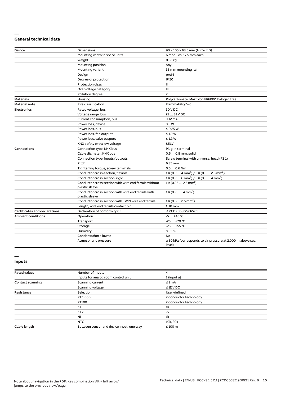#### **— General technical data**

| Device                               | Dimensions                                                              | $90 \times 105 \times 63.5$ mm (H x W x D)                                      |
|--------------------------------------|-------------------------------------------------------------------------|---------------------------------------------------------------------------------|
|                                      | Mounting width in space units                                           | 6 modules, 17.5 mm each                                                         |
|                                      | Weight                                                                  | 0.22 kg                                                                         |
|                                      | Mounting position                                                       | Any                                                                             |
|                                      | Mounting variant                                                        | 35 mm mounting rail                                                             |
|                                      | Design                                                                  | proM                                                                            |
|                                      | Degree of protection                                                    | <b>IP 20</b>                                                                    |
|                                      | <b>Protection class</b>                                                 | Ш                                                                               |
|                                      | Overvoltage category                                                    | Ш                                                                               |
|                                      | Pollution degree                                                        | 2                                                                               |
| <b>Materials</b>                     | Housing                                                                 | Polycarbonate, Makrolon FR6002, halogen free                                    |
| <b>Material note</b>                 | Fire classification                                                     | Flammability V-0                                                                |
| <b>Electronics</b>                   | Rated voltage, bus                                                      | 30 V DC                                                                         |
|                                      | Voltage range, bus                                                      | 21  31 V DC                                                                     |
|                                      | Current consumption, bus                                                | $< 12 \text{ mA}$                                                               |
|                                      | Power loss, device                                                      | $\leq 3 W$                                                                      |
|                                      | Power loss, bus                                                         | $\leq$ 0.25 W                                                                   |
|                                      | Power loss, fan outputs                                                 | $\leq$ 1.2 W                                                                    |
|                                      | Power loss, valve outputs                                               | $\leq$ 1.2 W                                                                    |
|                                      | KNX safety extra low voltage                                            | <b>SELV</b>                                                                     |
| <b>Connections</b>                   | Connection type, KNX bus                                                | Plug-in terminal                                                                |
|                                      | Cable diameter, KNX bus                                                 | 0.6  0.8 mm, solid                                                              |
|                                      | Connection type, inputs/outputs                                         | Screw terminal with universal head (PZ 1)                                       |
|                                      | Pitch                                                                   | 6.35 mm                                                                         |
|                                      | Tightening torque, screw terminals                                      | $0.50.6$ Nm                                                                     |
|                                      | Conductor cross-section, flexible                                       | $1 \times (0.2 \ldots 4 \text{ mm}^2) / 2 \times (0.2 \ldots 2.5 \text{ mm}^2)$ |
|                                      | Conductor cross section, rigid                                          | $1 \times (0.2 \ldots 6 \text{ mm}^2) / 2 \times (0.2 \ldots 4 \text{ mm}^2)$   |
|                                      | Conductor cross section with wire end ferrule without<br>plastic sleeve | $1 \times (0.252.5 \text{ mm}^2)$                                               |
|                                      | Conductor cross section with wire end ferrule with<br>plastic sleeve    | $1 \times (0.254 \text{ mm}^2)$                                                 |
|                                      | Conductor cross section with TWIN wire end ferrule                      | $1 \times (0.52.5)$ mm <sup>2</sup> )                                           |
|                                      | Length, wire end ferrule contact pin                                    | $\geq 10$ mm                                                                    |
| <b>Certificates and declarations</b> | Declaration of conformity CE                                            | → 2CDK508229D2701                                                               |
| <b>Ambient conditions</b>            | Operation                                                               | $-5+45$ °C                                                                      |
|                                      | Transport                                                               | $-25+70$ °C                                                                     |
|                                      | Storage                                                                 | $-25+55$ °C                                                                     |
|                                      | Humidity                                                                | $\leq 95 \%$                                                                    |
|                                      | Condensation allowed                                                    | No                                                                              |
|                                      | Atmospheric pressure                                                    | $\geq$ 80 kPa (corresponds to air pressure at 2,000 m above sea<br>level)       |

#### **Inputs**

| <b>Rated values</b>     | Number of inputs                         |                        |  |
|-------------------------|------------------------------------------|------------------------|--|
|                         | Inputs for analog room control unit      | 1 (input a)            |  |
| <b>Contact scanning</b> | Scanning current                         | $\leq 1$ mA            |  |
|                         | Scanning voltage                         | $\leq$ 12 V DC         |  |
| Resistance              | Selection                                | User-defined           |  |
|                         | PT 1.000                                 | 2-conductor technology |  |
|                         | PT100                                    | 2-conductor technology |  |
|                         | KT                                       | 1k                     |  |
|                         | <b>KTY</b>                               | 2k                     |  |
|                         | <b>NI</b>                                | 1k                     |  |
|                         | <b>NTC</b>                               | 10k, 20k               |  |
| Cable length            | Between sensor and device input, one-way | $\leq 100$ m           |  |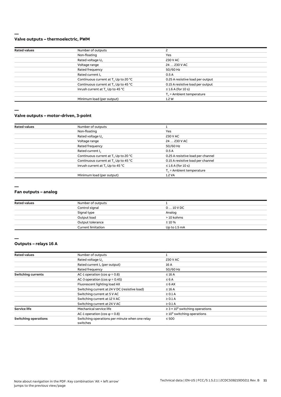#### **— Valve outputs – thermoelectric, PWM**

| <b>Rated values</b> | Number of outputs                                |                                   |  |
|---------------------|--------------------------------------------------|-----------------------------------|--|
|                     | Non-floating                                     | Yes                               |  |
|                     | Rated voltage U <sub>n</sub>                     | 230 V AC                          |  |
|                     | Voltage range                                    | 24  230 V AC                      |  |
|                     | Rated frequency                                  | 50/60 Hz                          |  |
|                     | Rated current I <sub>n</sub>                     | 0.5A                              |  |
|                     | Continuous current at T. Up to 20 °C             | 0.25 A resistive load per output  |  |
|                     | Continuous current at T <sub>u</sub> Up to 45 °C | 0.15 A resistive load per output  |  |
|                     | Inrush current at T <sub>u</sub> Up to 45 °C     | $\leq$ 1.6 A (for 10 s)           |  |
|                     |                                                  | $T_{\rm u}$ = Ambient temperature |  |
|                     | Minimum load (per output)                        | 1.2W                              |  |
|                     |                                                  |                                   |  |

**—**

#### **Valve outputs – motor-driven, 3-point**

| <b>Rated values</b> | Number of outputs                                |                                   |  |
|---------------------|--------------------------------------------------|-----------------------------------|--|
|                     | Non-floating                                     | Yes                               |  |
|                     | Rated voltage U <sub>n</sub>                     | 230 V AC                          |  |
|                     | Voltage range                                    | 24  230 V AC                      |  |
| Rated frequency     | 50/60 Hz                                         |                                   |  |
|                     | Rated current I <sub>n</sub>                     | 0.5A                              |  |
|                     | Continuous current at T <sub>u</sub> Up to 20 °C | 0.25 A resistive load per channel |  |
|                     | Continuous current at T <sub>u</sub> Up to 45 °C | 0.15 A resistive load per channel |  |
|                     | Inrush current at T <sub>u</sub> Up to 45 °C     | $\leq$ 1.6 A (for 10 s)           |  |
|                     |                                                  | $T_{\rm u}$ = Ambient temperature |  |
|                     | Minimum load (per output)                        | 1.2 VA                            |  |

**—**

#### **Fan outputs – analog**

| <b>Rated values</b> | Number of outputs         |                   |  |
|---------------------|---------------------------|-------------------|--|
|                     | Control signal            | $0 \dots 10$ V DC |  |
|                     | Signal type               | Analog            |  |
|                     | Output load               | > 10 kohms        |  |
|                     | Output tolerance          | ±10%              |  |
|                     | <b>Current limitation</b> | Up to 1.5 mA      |  |

**<sup>—</sup>**

## **Outputs – relays 16 A**

| <b>Rated values</b>         | Number of outputs                                          |                                                 |  |
|-----------------------------|------------------------------------------------------------|-------------------------------------------------|--|
|                             | Rated voltage U <sub>n</sub>                               | 230 V AC                                        |  |
|                             | Rated current I <sub>n</sub> (per output)                  | 16 A                                            |  |
|                             | Rated frequency                                            | 50/60 Hz                                        |  |
| <b>Switching currents</b>   | AC-1 operation (cos $\varphi$ = 0.8)                       | $\leq 16$ A                                     |  |
|                             | AC-3 operation (cos $\varphi$ = 0.45)                      | $\leq 6A$                                       |  |
|                             | Fluorescent lighting load AX                               | $\leq 6$ AX                                     |  |
|                             | Switching current at 24 V DC (resistive load)              | $\leq 16$ A                                     |  |
|                             | Switching current at 5 V AC                                | $\geq 0.1$ A                                    |  |
|                             | Switching current at 12 V AC                               | $\geq 0.1$ A                                    |  |
|                             | Switching current at 24 V AC                               | $\geq 0.1$ A                                    |  |
| <b>Service life</b>         | Mechanical service life                                    | $\geq$ 3 × 10 <sup>6</sup> switching operations |  |
|                             | AC-1 operation (cos $\varphi$ = 0.8)                       | $\geq 10^5$ switching operations                |  |
| <b>Switching operations</b> | Switching operations per minute when one relay<br>switches | $\leq 500$                                      |  |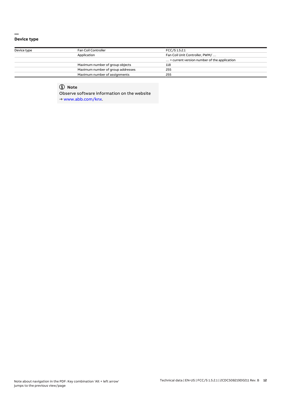#### **— Device type**

| Device type | Fan Coil Controller               | FCC/S 1.5.2.1                                        |  |
|-------------|-----------------------------------|------------------------------------------------------|--|
|             | Application                       | Fan Coil Unit Controller, PWM/                       |  |
|             |                                   | $\ldots$ = current version number of the application |  |
|             | Maximum number of group objects   | 118                                                  |  |
|             | Maximum number of group addresses | 255                                                  |  |
|             | Maximum number of assignments     | 255                                                  |  |

## **Note**

Observe software information on the website

→ www.abb.com/knx.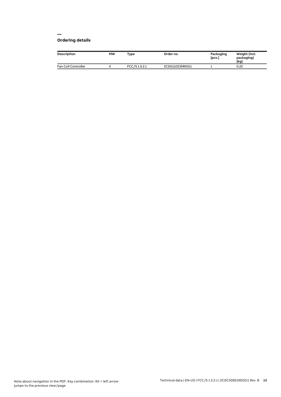#### **— Ordering details**

| <b>Description</b>  | МW | Type          | Order no.       | Packaging<br>[pcs.] | Weight (incl.<br>packaging)<br>[kg] |
|---------------------|----|---------------|-----------------|---------------------|-------------------------------------|
| Fan Coil Controller |    | FCC/S 1.5.2.1 | 2CDG110235R0011 |                     | 0.22                                |